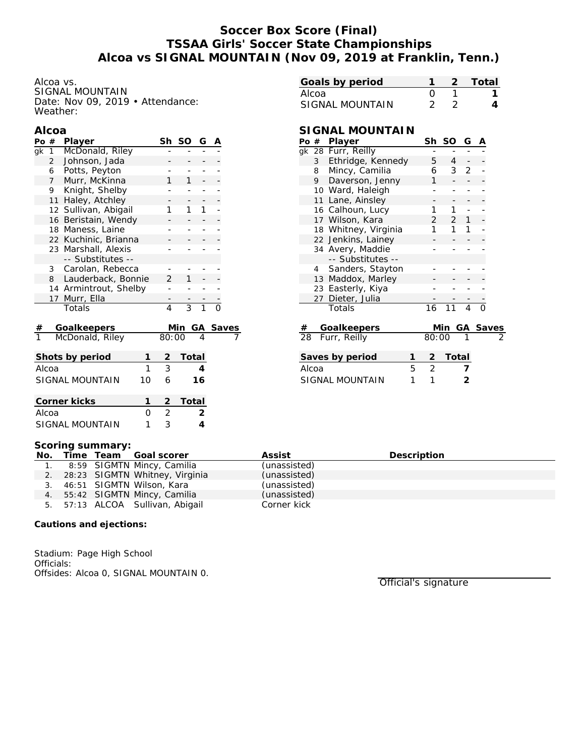# **Soccer Box Score (Final) TSSAA Girls' Soccer State Championships Alcoa vs SIGNAL MOUNTAIN (Nov 09, 2019 at Franklin, Tenn.)**

Alcoa vs. SIGNAL MOUNTAIN Date: Nov 09, 2019 • Attendance: Weather:

### **Alcoa**

| Po#                          |                      | Player             |                | Sh             | SO             | G              | Α |          |
|------------------------------|----------------------|--------------------|----------------|----------------|----------------|----------------|---|----------|
| qk                           | 1                    | McDonald, Riley    |                |                |                |                |   |          |
|                              | $\overline{2}$       | Johnson, Jada      |                |                |                |                |   |          |
|                              | 6                    | Potts, Peyton      |                |                |                |                |   |          |
| Murr, McKinna<br>$7^{\circ}$ |                      |                    |                | 1              | 1              |                |   |          |
|                              | 9                    | Knight, Shelby     |                |                |                |                |   |          |
| Haley, Atchley<br>11         |                      |                    |                |                |                |                |   |          |
| Sullivan, Abigail<br>12      |                      |                    |                | 1              | 1              | 1              |   |          |
| Beristain, Wendy<br>16       |                      |                    |                |                |                |                |   |          |
| 18 Maness, Laine             |                      |                    |                |                |                |                |   |          |
|                              | 22 Kuchinic, Brianna |                    |                |                |                |                |   |          |
|                              | 23 Marshall, Alexis  |                    |                |                |                |                |   |          |
|                              |                      | -- Substitutes --  |                |                |                |                |   |          |
|                              | 3                    | Carolan, Rebecca   |                |                |                |                |   |          |
|                              | 8                    | Lauderback, Bonnie | $\overline{2}$ | 1              |                |                |   |          |
| 14 Armintrout, Shelby        |                      |                    |                |                |                |                |   |          |
| Murr, Ella<br>17             |                      |                    |                |                |                |                |   |          |
|                              |                      | Totals             |                | 4              | $\overline{3}$ | $\overline{1}$ |   |          |
| #                            |                      | Goalkeepers        |                |                | Min            |                |   | GA Saves |
| McDonald, Riley              |                      |                    |                | 80:00          |                | 4              |   |          |
|                              |                      | Shots by period    | 1              | $\overline{c}$ | Total          |                |   |          |
| Alcoa                        |                      |                    | 1              | 3              |                | 4              |   |          |
|                              |                      | SIGNAL MOUNTAIN    | 10             | 6              |                | 16             |   |          |
| Corner kicks                 |                      |                    |                | $\overline{2}$ | Total          |                |   |          |
| Alcoa                        |                      |                    | 0              | $\overline{c}$ |                | 2              |   |          |
| SIGNAL MOUNTAIN<br>1         |                      |                    |                | 3              |                | $\overline{4}$ |   |          |

|                  | -2 Total |
|------------------|----------|
| $\left( \right)$ |          |
|                  |          |
|                  |          |

## **SIGNAL MOUNTAIN**

| Po #            |                | Player               |   | Sh             | <b>SO</b>      | G              | Α        |  |
|-----------------|----------------|----------------------|---|----------------|----------------|----------------|----------|--|
|                 |                | gk 28 Furr, Reilly   |   |                |                |                |          |  |
|                 | 3 <sup>7</sup> | Ethridge, Kennedy    |   | 5              | $\overline{4}$ |                |          |  |
|                 | 8              | Mincy, Camilia       |   | 6              | 3              | $\overline{2}$ |          |  |
|                 | 9              | Daverson, Jenny      |   | 1              |                |                |          |  |
|                 |                | 10 Ward, Haleigh     |   |                |                |                |          |  |
|                 | 11             | Lane, Ainsley        |   |                |                |                |          |  |
|                 |                | 16 Calhoun, Lucy     |   | 1              | 1              |                |          |  |
|                 |                | 17 Wilson, Kara      |   | $\overline{2}$ | $\overline{2}$ | 1              |          |  |
|                 |                | 18 Whitney, Virginia |   | 1              | 1              | 1              |          |  |
|                 |                | 22 Jenkins, Lainey   |   |                |                |                |          |  |
|                 |                | 34 Avery, Maddie     |   |                |                |                |          |  |
|                 |                | -- Substitutes --    |   |                |                |                |          |  |
|                 |                | 4 Sanders, Stayton   |   |                |                |                |          |  |
|                 |                | 13 Maddox, Marley    |   |                |                |                |          |  |
|                 |                | 23 Easterly, Kiya    |   |                |                |                |          |  |
|                 |                | 27 Dieter, Julia     |   |                |                |                |          |  |
|                 |                | Totals               |   | 16             | 11             | 4              | $\Omega$ |  |
| #               |                | Goalkeepers          |   |                | Min            |                | GA Saves |  |
| 28              |                | Furr, Reilly         |   | 80:00          |                |                |          |  |
| Saves by period |                |                      | 1 | 2              | Total          |                |          |  |
| Alcoa           |                |                      | 5 | 2              |                |                |          |  |
| SIGNAL MOUNTAIN |                |                      | 1 | 1              |                | 2              |          |  |
|                 |                |                      |   |                |                |                |          |  |

#### **Scoring summary:**

|  | No. Time Team Goal scorer         | Assist       | Description |
|--|-----------------------------------|--------------|-------------|
|  | 1. 8:59 SIGMTN Mincy, Camilia     | (unassisted) |             |
|  | 2. 28:23 SIGMTN Whitney, Virginia | (unassisted) |             |
|  | 3. 46:51 SIGMTN Wilson, Kara      | (unassisted) |             |
|  | 4. 55:42 SIGMTN Mincy, Camilia    | (unassisted) |             |
|  | 5. 57:13 ALCOA Sullivan, Abigail  | Corner kick  |             |

**Cautions and ejections:**

Stadium: Page High School Officials: Offsides: Alcoa 0, SIGNAL MOUNTAIN 0.

Official's signature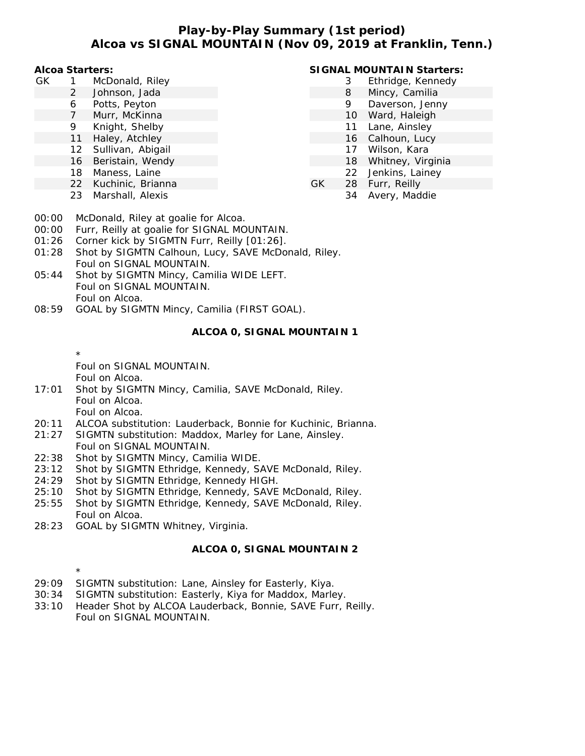## **Play-by-Play Summary (1st period) Alcoa vs SIGNAL MOUNTAIN (Nov 09, 2019 at Franklin, Tenn.)**

**Alcoa Starters:**

- GK 1 McDonald, Riley
	- 2 Johnson, Jada
	- 6 Potts, Peyton
	- 7 Murr, McKinna
	- 9 Knight, Shelby
	- 11 Haley, Atchley
	- 12 Sullivan, Abigail
	- 16 Beristain, Wendy
	- 18 Maness, Laine
	- 22 Kuchinic, Brianna
	- 23 Marshall, Alexis

## **SIGNAL MOUNTAIN Starters:**

- 3 Ethridge, Kennedy
- 8 Mincy, Camilia
- 9 Daverson, Jenny
- 10 Ward, Haleigh
- 11 Lane, Ainsley
- 16 Calhoun, Lucy
- 17 Wilson, Kara
- 18 Whitney, Virginia
- 22 Jenkins, Lainey
- GK 28 Furr, Reilly
	- 34 Avery, Maddie

- 00:00 McDonald, Riley at goalie for Alcoa.
- 00:00 Furr, Reilly at goalie for SIGNAL MOUNTAIN.
- 01:26 Corner kick by SIGMTN Furr, Reilly [01:26].
- 01:28 Shot by SIGMTN Calhoun, Lucy, SAVE McDonald, Riley. Foul on SIGNAL MOUNTAIN.
- 05:44 Shot by SIGMTN Mincy, Camilia WIDE LEFT. Foul on SIGNAL MOUNTAIN. Foul on Alcoa.
- 08:59 GOAL by SIGMTN Mincy, Camilia (FIRST GOAL).

### **ALCOA 0, SIGNAL MOUNTAIN 1**

\* Foul on SIGNAL MOUNTAIN.

Foul on Alcoa.

\*

- 17:01 Shot by SIGMTN Mincy, Camilia, SAVE McDonald, Riley. Foul on Alcoa. Foul on Alcoa.
- 20:11 ALCOA substitution: Lauderback, Bonnie for Kuchinic, Brianna.
- 21:27 SIGMTN substitution: Maddox, Marley for Lane, Ainsley.
- Foul on SIGNAL MOUNTAIN. 22:38 Shot by SIGMTN Mincy, Camilia WIDE.
- 23:12 Shot by SIGMTN Ethridge, Kennedy, SAVE McDonald, Riley.
- 24:29 Shot by SIGMTN Ethridge, Kennedy HIGH.
- 25:10 Shot by SIGMTN Ethridge, Kennedy, SAVE McDonald, Riley.
- 25:55 Shot by SIGMTN Ethridge, Kennedy, SAVE McDonald, Riley. Foul on Alcoa.
- 28:23 GOAL by SIGMTN Whitney, Virginia.

### **ALCOA 0, SIGNAL MOUNTAIN 2**

- 29:09 SIGMTN substitution: Lane, Ainsley for Easterly, Kiya.
- 30:34 SIGMTN substitution: Easterly, Kiya for Maddox, Marley.
- 33:10 Header Shot by ALCOA Lauderback, Bonnie, SAVE Furr, Reilly. Foul on SIGNAL MOUNTAIN.